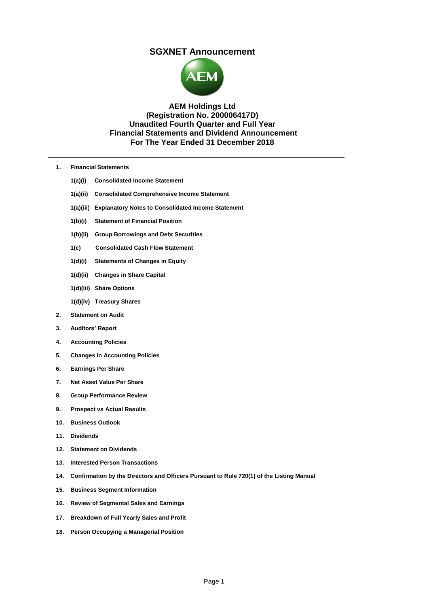# **SGXNET Announcement**



# **AEM Holdings Ltd (Registration No. 200006417D) Unaudited Fourth Quarter and Full Year Financial Statements and Dividend Announcement For The Year Ended 31 December 2018**

- **1. Financial Statements**
	- **1(a)(i) Consolidated Income Statement**
	- **1(a)(ii) Consolidated Comprehensive Income Statement**
	- **1(a)(iii) Explanatory Notes to Consolidated Income Statement**
	- **1(b)(i) Statement of Financial Position**
	- **1(b)(ii) Group Borrowings and Debt Securities**
	- **1(c) Consolidated Cash Flow Statement**
	- **1(d)(i) Statements of Changes in Equity**
	- **1(d)(ii) Changes in Share Capital**
	- **1(d)(iii) Share Options**
	- **1(d)(iv) Treasury Shares**
- **2. Statement on Audit**
- **3. Auditors' Report**
- **4. Accounting Policies**
- **5. Changes in Accounting Policies**
- **6. Earnings Per Share**
- **7. Net Asset Value Per Share**
- **8. Group Performance Review**
- **9. Prospect vs Actual Results**
- **10. Business Outlook**
- **11. Dividends**
- **12. Statement on Dividends**
- **13. Interested Person Transactions**
- **14. Confirmation by the Directors and Officers Pursuant to Rule 720(1) of the Listing Manual**
- **15. Business Segment Information**
- **16. Review of Segmental Sales and Earnings**
- **17. Breakdown of Full Yearly Sales and Profit**
- **18. Person Occupying a Managerial Position**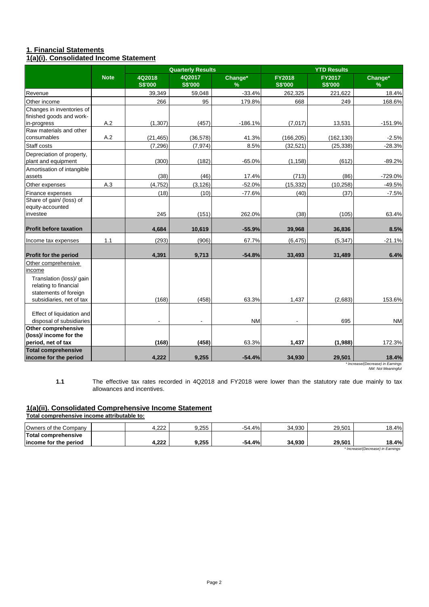# **1. Financial Statements 1(a)(i). Consolidated Income Statement**

|                                                                                                             |             |                          | <b>Quarterly Results</b> |                          |                          | <b>YTD Results</b>              |                                            |
|-------------------------------------------------------------------------------------------------------------|-------------|--------------------------|--------------------------|--------------------------|--------------------------|---------------------------------|--------------------------------------------|
|                                                                                                             | <b>Note</b> | 4Q2018<br><b>S\$'000</b> | 4Q2017<br><b>S\$'000</b> | Change*<br>$\frac{9}{6}$ | FY2018<br><b>S\$'000</b> | <b>FY2017</b><br><b>S\$'000</b> | Change*<br>%                               |
| Revenue                                                                                                     |             | 39,349                   | 59,048                   | $-33.4%$                 | 262,325                  | 221,622                         | 18.4%                                      |
| Other income                                                                                                |             | 266                      | 95                       | 179.8%                   | 668                      | 249                             | 168.6%                                     |
| Changes in inventories of<br>finished goods and work-                                                       |             |                          |                          |                          |                          |                                 |                                            |
| in-progress                                                                                                 | A.2         | (1, 307)                 | (457)                    | $-186.1%$                | (7,017)                  | 13,531                          | $-151.9%$                                  |
| Raw materials and other<br>consumables                                                                      | A.2         | (21, 465)                | (36, 578)                | 41.3%                    | (166, 205)               | (162, 130)                      | $-2.5%$                                    |
| Staff costs                                                                                                 |             | (7, 296)                 | (7, 974)                 | 8.5%                     | (32, 521)                | (25, 338)                       | $-28.3%$                                   |
| Depreciation of property,<br>plant and equipment                                                            |             | (300)                    | (182)                    | $-65.0%$                 | (1, 158)                 | (612)                           | $-89.2%$                                   |
| Amortisation of intangible<br>assets                                                                        |             | (38)                     | (46)                     | 17.4%                    | (713)                    | (86)                            | $-729.0%$                                  |
| Other expenses                                                                                              | A.3         | (4, 752)                 | (3, 126)                 | $-52.0%$                 | (15, 332)                | (10, 258)                       | $-49.5%$                                   |
| Finance expenses                                                                                            |             | (18)                     | (10)                     | $-77.6%$                 | (40)                     | (37)                            | $-7.5%$                                    |
| Share of gain/ (loss) of<br>equity-accounted<br>investee                                                    |             | 245                      | (151)                    | 262.0%                   | (38)                     | (105)                           | 63.4%                                      |
| <b>Profit before taxation</b>                                                                               |             | 4,684                    | 10,619                   | $-55.9%$                 | 39,968                   | 36,836                          | 8.5%                                       |
| Income tax expenses                                                                                         | $1.1$       | (293)                    | (906)                    | 67.7%                    | (6, 475)                 | (5, 347)                        | $-21.1%$                                   |
| <b>Profit for the period</b>                                                                                |             | 4,391                    | 9,713                    | $-54.8%$                 | 33,493                   | 31,489                          | 6.4%                                       |
| Other comprehensive<br>income<br>Translation (loss)/ gain<br>relating to financial<br>statements of foreign |             |                          |                          |                          |                          |                                 |                                            |
| subsidiaries, net of tax                                                                                    |             | (168)                    | (458)                    | 63.3%                    | 1,437                    | (2,683)                         | 153.6%                                     |
| Effect of liquidation and<br>disposal of subsidiaries                                                       |             |                          |                          | <b>NM</b>                |                          | 695                             | <b>NM</b>                                  |
| Other comprehensive<br>(loss)/ income for the<br>period, net of tax                                         |             | (168)                    | (458)                    | 63.3%                    | 1,437                    | (1,988)                         | 172.3%                                     |
| <b>Total comprehensive</b><br>income for the period                                                         |             | 4.222                    | 9,255                    | $-54.4%$                 | 34,930                   | 29,501                          | 18.4%<br>* Increase/(Decrease) in Farnings |

*\* Increase/(Decrease) in Earnings NM: Not Meaningful*

The effective tax rates recorded in 4Q2018 and FY2018 were lower than the statutory rate due mainly to tax allowances and incentives.

# **1(a)(ii). Consolidated Comprehensive Income Statement**

**Total comprehensive income attributable to:**

**1.1**

| Owners of the Company  | റററ<br>4.ZZZ | 9.255 | -54.4%   | 34.930 | 29.501 | 18.4%                             |
|------------------------|--------------|-------|----------|--------|--------|-----------------------------------|
| Total comprehensive    |              |       |          |        |        |                                   |
| lincome for the period | 4.222        | 9.255 | $-54.4%$ | 34.930 | 29.501 | 18.4%                             |
|                        |              |       |          |        |        | * Increase/(Decrease) in Earnings |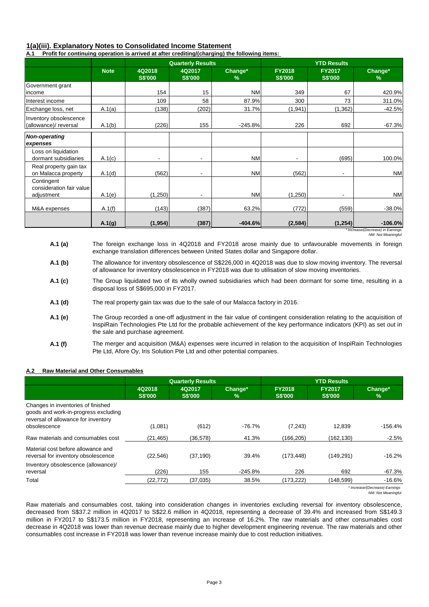# **1(a)(iii). Explanatory Notes to Consolidated Income Statement**

**A.1 Profit for continuing operation is arrived at after crediting/(charging) the following items:** 

|                                                 |             |                          | <b>Quarterly Results</b> |                 |                                 | <b>YTD Results</b>              |                                                |
|-------------------------------------------------|-------------|--------------------------|--------------------------|-----------------|---------------------------------|---------------------------------|------------------------------------------------|
|                                                 | <b>Note</b> | 4Q2018<br><b>S\$'000</b> | 4Q2017<br><b>S\$'000</b> | Change*<br>$\%$ | <b>FY2018</b><br><b>S\$'000</b> | <b>FY2017</b><br><b>S\$'000</b> | Change*<br>%                                   |
| Government grant<br>income                      |             | 154                      | 15                       | <b>NM</b>       | 349                             | 67                              | 420.9%                                         |
| Interest income                                 |             | 109                      | 58                       | 87.9%           | 300                             | 73                              | 311.0%                                         |
| Exchange loss, net                              | A.1(a)      | (138)                    | (202)                    | 31.7%           | (1,941)                         | (1, 362)                        | $-42.5%$                                       |
| Inventory obsolescence<br>(allowance)/ reversal | A.1(b)      | (226)                    | 155                      | $-245.8%$       | 226                             | 692                             | $-67.3%$                                       |
| <b>Non-operating</b><br>expenses                |             |                          |                          |                 |                                 |                                 |                                                |
| Loss on liquidation<br>dormant subsidiaries     | A.1(c)      | ٠                        |                          | <b>NM</b>       | $\overline{\phantom{a}}$        | (695)                           | 100.0%                                         |
| Real property gain tax<br>on Malacca property   | A.1(d)      | (562)                    |                          | <b>NM</b>       | (562)                           |                                 | <b>NM</b>                                      |
| Contingent<br>consideration fair value          |             |                          |                          |                 |                                 |                                 |                                                |
| adjustment                                      | A.1(e)      | (1,250)                  |                          | <b>NM</b>       | (1,250)                         |                                 | <b>NM</b>                                      |
| M&A expenses                                    | A.1(f)      | (143)                    | (387)                    | 63.2%           | (772)                           | (559)                           | $-38.0%$                                       |
|                                                 | A.1(g)      | (1, 954)                 | (387)                    | $-404.6%$       | (2, 584)                        | (1, 254)                        | $-106.0%$<br>* Increase/(Decrease) in Farnings |

*\* Increase/(Decrease) in Earnings NM: Not Meaningful*

- **A.1 (a)**  The foreign exchange loss in 4Q2018 and FY2018 arose mainly due to unfavourable movements in foreign exchange translation differences between United States dollar and Singapore dollar.
- **A.1 (b)** The allowance for inventory obsolescence of S\$226,000 in 4Q2018 was due to slow moving inventory. The reversal of allowance for inventory obsolescence in FY2018 was due to utilisation of slow moving inventories.
- **A.1 (c)**  The Group liquidated two of its wholly owned subsidiaries which had been dormant for some time, resulting in a disposal loss of S\$695,000 in FY2017.
- **A.1 (d)**  The real property gain tax was due to the sale of our Malacca factory in 2016.
- **A.1 (e)**  The Group recorded a one-off adjustment in the fair value of contingent consideration relating to the acquisition of InspiRain Technologies Pte Ltd for the probable achievement of the key performance indicators (KPI) as set out in the sale and purchase agreement.
- **A.1 (f)**  The merger and acquisition (M&A) expenses were incurred in relation to the acquisition of InspiRain Technologies Pte Ltd, Afore Oy, Iris Solution Pte Ltd and other potential companies.

#### **A.2 Raw Material and Other Consumables**

|                                                                                                                                   | <b>Quarterly Results</b> |                          |              | <b>YTD Results</b>              |                                 |                                |  |
|-----------------------------------------------------------------------------------------------------------------------------------|--------------------------|--------------------------|--------------|---------------------------------|---------------------------------|--------------------------------|--|
|                                                                                                                                   | 4Q2018<br><b>S\$'000</b> | 4Q2017<br><b>S\$'000</b> | Change*<br>℅ | <b>FY2018</b><br><b>S\$'000</b> | <b>FY2017</b><br><b>S\$'000</b> | Change*<br>%                   |  |
| Changes in inventories of finished<br>goods and work-in-progress excluding<br>reversal of allowance for inventory<br>obsolescence | (1,081)                  | (612)                    | $-76.7%$     | (7, 243)                        | 12.839                          | $-156.4%$                      |  |
| Raw materials and consumables cost                                                                                                | (21, 465)                | (36, 578)                | 41.3%        | (166, 205)                      | (162, 130)                      | $-2.5%$                        |  |
| Material cost before allowance and<br>reversal for inventory obsolescence                                                         | (22, 546)                | (37, 190)                | 39.4%        | (173, 448)                      | (149, 291)                      | $-16.2%$                       |  |
| Inventory obsolescence (allowance)/<br>reversal                                                                                   | (226)                    | 155                      | $-245.8%$    | 226                             | 692                             | -67.3%                         |  |
| Total                                                                                                                             | (22, 772)                | (37,035)                 | 38.5%        | (173,222)                       | (148.599)                       | $-16.6%$                       |  |
|                                                                                                                                   |                          |                          |              |                                 |                                 | * Increase/(Decrease) Earnings |  |

*NM: Not Meaningful*

Raw materials and consumables cost, taking into consideration changes in inventories excluding reversal for inventory obsolescence, decreased from S\$37.2 million in 4Q2017 to S\$22.6 million in 4Q2018, representing a decrease of 39.4% and increased from S\$149.3 million in FY2017 to S\$173.5 million in FY2018, representing an increase of 16.2%. The raw materials and other consumables cost decrease in 4Q2018 was lower than revenue decrease mainly due to higher development engineering revenue. The raw materials and other consumables cost increase in FY2018 was lower than revenue increase mainly due to cost reduction initiatives.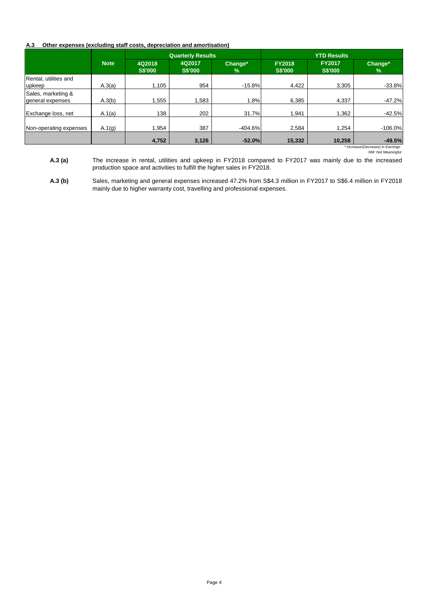## **A.3 Other expenses (excluding staff costs, depreciation and amortisation)**

|                                        |             | <b>Quarterly Results</b> |                          | <b>YTD Results</b> |                                 |                                 |                                               |
|----------------------------------------|-------------|--------------------------|--------------------------|--------------------|---------------------------------|---------------------------------|-----------------------------------------------|
|                                        | <b>Note</b> | 4Q2018<br><b>S\$'000</b> | 4Q2017<br><b>S\$'000</b> | Change*<br>$\%$    | <b>FY2018</b><br><b>S\$'000</b> | <b>FY2017</b><br><b>S\$'000</b> | Change*<br>$\%$                               |
| Rental, utilities and<br>upkeep        | A.3(a)      | 1.105                    | 954                      | $-15.8%$           | 4,422                           | 3,305                           | $-33.8%$                                      |
| Sales, marketing &<br>general expenses | A.3(b)      | .555                     | 1.583                    | 1.8%               | 6.385                           | 4,337                           | $-47.2%$                                      |
| Exchange loss, net                     | A.1(a)      | 138                      | 202                      | 31.7%              | 1.941                           | 1,362                           | $-42.5%$                                      |
| Non-operating expenses                 | A.1(g)      | 1.954                    | 387                      | $-404.6%$          | 2.584                           | 1,254                           | $-106.0%$                                     |
|                                        |             | 4,752                    | 3,126                    | $-52.0%$           | 15,332                          | 10.258                          | $-49.5%$<br>* Increase/(Decrease) in Farnings |

*\* Increase/(Decrease) in Earnings NM: Not Meaningful*

**A.3 (a)**  The increase in rental, utilities and upkeep in FY2018 compared to FY2017 was mainly due to the increased production space and activities to fulfill the higher sales in FY2018.

**A.3 (b)** Sales, marketing and general expenses increased 47.2% from S\$4.3 million in FY2017 to S\$6.4 million in FY2018 mainly due to higher warranty cost, travelling and professional expenses.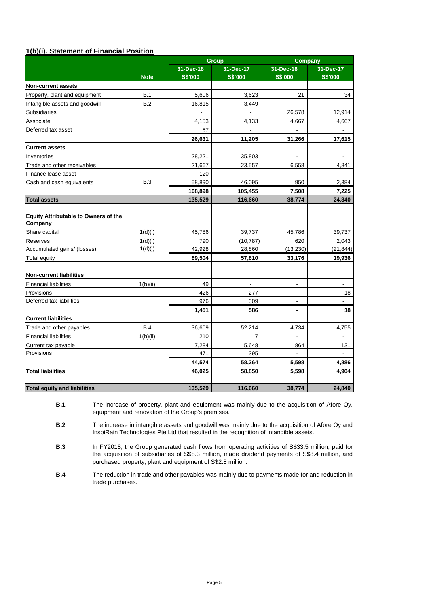# **1(b)(i). Statement of Financial Position**

|                                                 |             |                 | Group                    | Company                  |                          |  |
|-------------------------------------------------|-------------|-----------------|--------------------------|--------------------------|--------------------------|--|
|                                                 |             | $31 - Dec - 18$ | 31-Dec-17                | 31-Dec-18                | 31-Dec-17                |  |
|                                                 | <b>Note</b> | <b>S\$'000</b>  | <b>S\$'000</b>           | <b>S\$'000</b>           | <b>S\$'000</b>           |  |
| <b>Non-current assets</b>                       |             |                 |                          |                          |                          |  |
| Property, plant and equipment                   | B.1         | 5,606           | 3,623                    | 21                       | 34                       |  |
| Intangible assets and goodwill                  | B.2         | 16,815          | 3,449                    | $\blacksquare$           | $\overline{\phantom{0}}$ |  |
| Subsidiaries                                    |             |                 | $\blacksquare$           | 26,578                   | 12,914                   |  |
| Associate                                       |             | 4,153           | 4,133                    | 4,667                    | 4,667                    |  |
| Deferred tax asset                              |             | 57              |                          |                          |                          |  |
|                                                 |             | 26,631          | 11,205                   | 31,266                   | 17,615                   |  |
| <b>Current assets</b>                           |             |                 |                          |                          |                          |  |
| Inventories                                     |             | 28,221          | 35,803                   |                          | $\blacksquare$           |  |
| Trade and other receivables                     |             | 21,667          | 23,557                   | 6,558                    | 4.841                    |  |
| Finance lease asset                             |             | 120             |                          |                          | $\blacksquare$           |  |
| Cash and cash equivalents                       | <b>B.3</b>  | 58,890          | 46,095                   | 950                      | 2,384                    |  |
|                                                 |             | 108,898         | 105,455                  | 7,508                    | 7,225                    |  |
| <b>Total assets</b>                             |             | 135,529         | 116,660                  | 38,774                   | 24,840                   |  |
|                                                 |             |                 |                          |                          |                          |  |
| Equity Attributable to Owners of the<br>Company |             |                 |                          |                          |                          |  |
| Share capital                                   | 1(d)(i)     | 45,786          | 39,737                   | 45,786                   | 39,737                   |  |
| Reserves                                        | 1(d)(i)     | 790             | (10, 787)                | 620                      | 2,043                    |  |
| Accumulated gains/ (losses)                     | 1(d)(i)     | 42,928          | 28,860                   | (13, 230)                | (21, 844)                |  |
| <b>Total equity</b>                             |             | 89,504          | 57,810                   | 33,176                   | 19,936                   |  |
|                                                 |             |                 |                          |                          |                          |  |
| <b>Non-current liabilities</b>                  |             |                 |                          |                          |                          |  |
| <b>Financial liabilities</b>                    | 1(b)(ii)    | 49              | $\overline{\phantom{a}}$ | $\blacksquare$           | $\overline{\phantom{a}}$ |  |
| Provisions                                      |             | 426             | 277                      | $\blacksquare$           | 18                       |  |
| Deferred tax liabilities                        |             | 976             | 309                      | $\overline{a}$           | $\overline{\phantom{0}}$ |  |
|                                                 |             | 1,451           | 586                      | $\overline{\phantom{a}}$ | 18                       |  |
| <b>Current liabilities</b>                      |             |                 |                          |                          |                          |  |
| Trade and other payables                        | <b>B.4</b>  | 36,609          | 52,214                   | 4,734                    | 4,755                    |  |
| <b>Financial liabilities</b>                    | 1(b)(ii)    | 210             | $\overline{7}$           | $\blacksquare$           | $\blacksquare$           |  |
| Current tax payable                             |             | 7,284           | 5,648                    | 864                      | 131                      |  |
| Provisions                                      |             | 471             | 395                      |                          |                          |  |
|                                                 |             | 44,574          | 58,264                   | 5,598                    | 4,886                    |  |
| <b>Total liabilities</b>                        |             | 46,025          | 58,850                   | 5,598                    | 4,904                    |  |
|                                                 |             |                 |                          |                          |                          |  |
| <b>Total equity and liabilities</b>             |             | 135,529         | 116,660                  | 38,774                   | 24,840                   |  |

**B.1** The increase of property, plant and equipment was mainly due to the acquisition of Afore Oy, equipment and renovation of the Group's premises.

**B.2** The increase in intangible assets and goodwill was mainly due to the acquisition of Afore Oy and InspiRain Technologies Pte Ltd that resulted in the recognition of intangible assets.

**B.3** In FY2018, the Group generated cash flows from operating activities of S\$33.5 million, paid for the acquisition of subsidiaries of S\$8.3 million, made dividend payments of S\$8.4 million, and purchased property, plant and equipment of S\$2.8 million.

**B.4** The reduction in trade and other payables was mainly due to payments made for and reduction in trade purchases.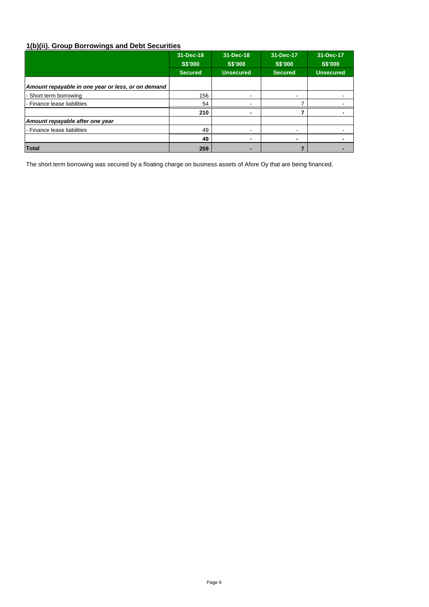# **1(b)(ii). Group Borrowings and Debt Securities**

|                                                    | 31-Dec-18      | 31-Dec-18        | 31-Dec-17      | 31-Dec-17        |
|----------------------------------------------------|----------------|------------------|----------------|------------------|
|                                                    | <b>S\$'000</b> | <b>S\$'000</b>   | <b>S\$'000</b> | S\$'000          |
|                                                    | <b>Secured</b> | <b>Unsecured</b> | <b>Secured</b> | <b>Unsecured</b> |
| Amount repayable in one year or less, or on demand |                |                  |                |                  |
| - Short term borrowing                             | 156            | -                |                |                  |
| l - Finance lease liabilities                      | 54             |                  |                |                  |
|                                                    | 210            | ٠                |                |                  |
| Amount repayable after one year                    |                |                  |                |                  |
| l - Finance lease liabilities                      | 49             |                  |                |                  |
|                                                    | 49             | $\blacksquare$   |                |                  |
| <b>Total</b>                                       | 259            | -                |                |                  |

The short term borrowing was secured by a floating charge on business assets of Afore Oy that are being financed.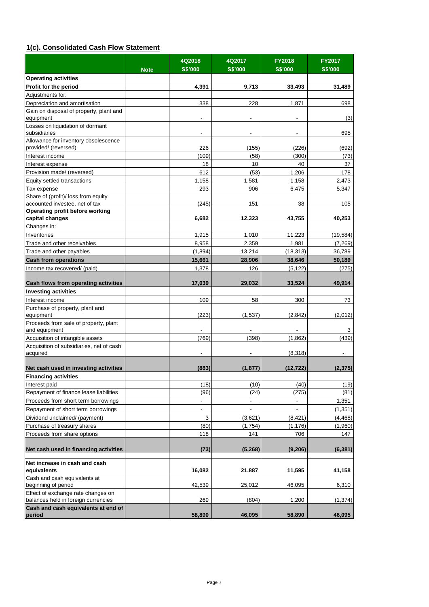# **1(c). Consolidated Cash Flow Statement**

|                                                                           | <b>Note</b> | 4Q2018<br><b>S\$'000</b> | 4Q2017<br><b>S\$'000</b> | <b>FY2018</b><br><b>S\$'000</b> | <b>FY2017</b><br><b>S\$'000</b> |
|---------------------------------------------------------------------------|-------------|--------------------------|--------------------------|---------------------------------|---------------------------------|
| <b>Operating activities</b>                                               |             |                          |                          |                                 |                                 |
| Profit for the period                                                     |             | 4,391                    | 9,713                    | 33,493                          | 31,489                          |
| Adjustments for:                                                          |             |                          |                          |                                 |                                 |
| Depreciation and amortisation                                             |             | 338                      | 228                      | 1,871                           | 698                             |
| Gain on disposal of property, plant and                                   |             |                          |                          |                                 |                                 |
| equipment                                                                 |             | ٠                        | $\overline{\phantom{a}}$ |                                 | (3)                             |
| Losses on liquidation of dormant                                          |             |                          |                          |                                 |                                 |
| subsidiaries                                                              |             | $\overline{\phantom{a}}$ | $\overline{\phantom{a}}$ | $\overline{\phantom{a}}$        | 695                             |
| Allowance for inventory obsolescence                                      |             |                          |                          |                                 |                                 |
| provided/ (reversed)                                                      |             | 226                      | (155)                    | (226)                           | (692)                           |
| Interest income                                                           |             | (109)                    | (58)                     | (300)                           | (73)                            |
| Interest expense                                                          |             | 18                       | 10                       | 40                              | 37                              |
| Provision made/ (reversed)                                                |             | 612                      | (53)                     | 1,206                           | 178                             |
| Equity settled transactions                                               |             | 1,158                    | 1,581                    | 1,158                           | 2,473                           |
| Tax expense                                                               |             | 293                      | 906                      | 6,475                           | 5,347                           |
| Share of (profit)/ loss from equity                                       |             |                          |                          |                                 |                                 |
| accounted investee, net of tax<br>Operating profit before working         |             | (245)                    | 151                      | 38                              | 105                             |
| capital changes                                                           |             | 6,682                    | 12,323                   | 43,755                          | 40,253                          |
| Changes in:                                                               |             |                          |                          |                                 |                                 |
| Inventories                                                               |             | 1,915                    | 1,010                    | 11,223                          | (19,584)                        |
| Trade and other receivables                                               |             | 8,958                    | 2,359                    | 1,981                           | (7, 269)                        |
| Trade and other payables                                                  |             | (1,894)                  | 13,214                   | (18, 313)                       | 36,789                          |
| <b>Cash from operations</b>                                               |             | 15,661                   | 28,906                   | 38,646                          | 50,189                          |
|                                                                           |             | 1,378                    | 126                      |                                 |                                 |
| Income tax recovered/ (paid)                                              |             |                          |                          | (5, 122)                        | (275)                           |
| Cash flows from operating activities                                      |             | 17,039                   | 29,032                   | 33,524                          | 49,914                          |
| <b>Investing activities</b>                                               |             |                          |                          |                                 |                                 |
| Interest income                                                           |             | 109                      | 58                       | 300                             | 73                              |
| Purchase of property, plant and                                           |             |                          |                          |                                 |                                 |
| equipment                                                                 |             | (223)                    | (1,537)                  | (2,842)                         | (2,012)                         |
| Proceeds from sale of property, plant<br>and equipment                    |             |                          |                          |                                 | 3                               |
| Acquisition of intangible assets                                          |             | (769)                    | (398)                    | (1,862)                         | (439)                           |
| Acquisition of subsidiaries, net of cash                                  |             |                          |                          |                                 |                                 |
| acquired                                                                  |             | ٠                        |                          | (8,318)                         |                                 |
| Net cash used in investing activities                                     |             | (883)                    | (1, 877)                 | (12, 722)                       | (2, 375)                        |
| <b>Financing activities</b>                                               |             |                          |                          |                                 |                                 |
| Interest paid                                                             |             | (18)                     | (10)                     | (40)                            | (19)                            |
| Repayment of finance lease liabilities                                    |             | (96)                     | (24)                     | (275)                           | (81)                            |
| Proceeds from short term borrowings                                       |             | ۰                        | $\overline{\phantom{a}}$ |                                 | 1,351                           |
| Repayment of short term borrowings                                        |             | $\frac{1}{2}$            |                          |                                 | (1, 351)                        |
| Dividend unclaimed/ (payment)                                             |             | 3                        | (3,621)                  | (8, 421)                        | (4,468)                         |
| Purchase of treasury shares                                               |             | (80)                     | (1,754)                  | (1, 176)                        | (1,960)                         |
| Proceeds from share options                                               |             | 118                      | 141                      | 706                             | 147                             |
| Net cash used in financing activities                                     |             | (73)                     | (5,268)                  | (9, 206)                        | (6, 381)                        |
| Net increase in cash and cash<br>equivalents                              |             | 16,082                   | 21,887                   | 11,595                          | 41,158                          |
| Cash and cash equivalents at                                              |             |                          |                          |                                 |                                 |
| beginning of period                                                       |             | 42,539                   | 25,012                   | 46,095                          | 6,310                           |
| Effect of exchange rate changes on<br>balances held in foreign currencies |             | 269                      | (804)                    | 1,200                           | (1, 374)                        |
| Cash and cash equivalents at end of<br>period                             |             | 58,890                   | 46,095                   | 58,890                          | 46,095                          |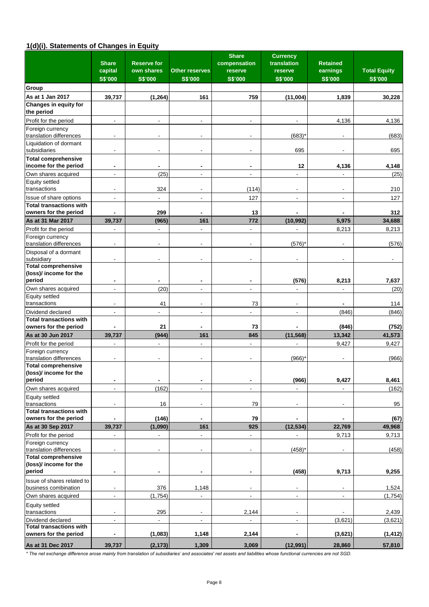# **1(d)(i). Statements of Changes in Equity**

|                                                         | <b>Share</b><br>capital      | <b>Reserve for</b><br>own shares | Other reserves               | <b>Share</b><br>compensation<br>reserve | <b>Currency</b><br>translation<br>reserve | <b>Retained</b><br>earnings | <b>Total Equity</b> |
|---------------------------------------------------------|------------------------------|----------------------------------|------------------------------|-----------------------------------------|-------------------------------------------|-----------------------------|---------------------|
|                                                         | <b>S\$'000</b>               | <b>S\$'000</b>                   | <b>S\$'000</b>               | <b>S\$'000</b>                          | <b>S\$'000</b>                            | <b>S\$'000</b>              | <b>S\$'000</b>      |
| Group                                                   |                              |                                  |                              |                                         |                                           |                             |                     |
| As at 1 Jan 2017<br>Changes in equity for               | 39,737                       | (1, 264)                         | 161                          | 759                                     | (11,004)                                  | 1,839                       | 30,228              |
| the period                                              |                              |                                  |                              |                                         |                                           |                             |                     |
| Profit for the period                                   | $\blacksquare$               |                                  |                              |                                         |                                           | 4,136                       | 4,136               |
| Foreign currency<br>translation differences             |                              |                                  |                              |                                         | (683)                                     |                             | (683)               |
| Liquidation of dormant<br>subsidiaries                  | $\blacksquare$               | ÷,                               |                              |                                         | 695                                       |                             | 695                 |
| <b>Total comprehensive</b><br>income for the period     | $\blacksquare$               | -                                | $\blacksquare$               | $\blacksquare$                          | 12                                        | 4,136                       | 4,148               |
| Own shares acquired                                     | $\overline{\phantom{a}}$     | (25)                             | $\overline{\phantom{a}}$     | $\overline{\phantom{a}}$                | ä,                                        |                             | (25)                |
| <b>Equity settled</b>                                   |                              |                                  |                              |                                         |                                           |                             |                     |
| transactions                                            | $\overline{\phantom{a}}$     | 324                              |                              | (114)                                   | ÷,                                        |                             | 210                 |
| Issue of share options                                  | $\overline{\phantom{a}}$     | $\overline{a}$                   | $\overline{\phantom{a}}$     | 127                                     | ÷.                                        | $\blacksquare$              | 127                 |
| <b>Total transactions with</b><br>owners for the period |                              | 299                              |                              | 13                                      |                                           |                             | 312                 |
| As at 31 Mar 2017                                       | 39,737                       | (965)                            | 161                          | 772                                     | (10, 992)                                 | 5,975                       | 34,688              |
| Profit for the period                                   |                              | ۰                                |                              |                                         |                                           | 8,213                       | 8,213               |
| Foreign currency                                        |                              |                                  |                              |                                         |                                           |                             |                     |
| translation differences                                 |                              |                                  |                              |                                         | (576)                                     |                             | (576)               |
| Disposal of a dormant<br>subsidiary                     |                              |                                  |                              |                                         |                                           |                             |                     |
| <b>Total comprehensive</b>                              |                              |                                  |                              |                                         |                                           |                             |                     |
| (loss)/ income for the<br>period                        | $\blacksquare$               |                                  |                              |                                         | (576)                                     | 8,213                       | 7,637               |
| Own shares acquired                                     | $\blacksquare$               | (20)                             | $\overline{a}$               |                                         |                                           |                             | (20)                |
| Equity settled                                          |                              |                                  |                              |                                         |                                           |                             |                     |
| transactions                                            | $\overline{\phantom{a}}$     | 41                               |                              | 73                                      | $\blacksquare$                            |                             | 114                 |
| Dividend declared<br><b>Total transactions with</b>     | $\overline{\phantom{a}}$     | ٠                                |                              |                                         | ä,                                        | (846)                       | (846)               |
| owners for the period                                   |                              | 21                               | $\blacksquare$               | 73                                      |                                           | (846)                       | (752)               |
| As at 30 Jun 2017                                       | 39,737                       | (944)                            | 161                          | 845                                     | (11, 568)                                 | 13,342                      | 41,573              |
| Profit for the period                                   | $\overline{\phantom{a}}$     | $\blacksquare$                   | $\overline{\phantom{a}}$     | $\overline{\phantom{a}}$                | ÷,                                        | 9,427                       | 9,427               |
| Foreign currency<br>translation differences             |                              |                                  |                              |                                         | (966)                                     |                             | (966)               |
| <b>Total comprehensive</b>                              |                              |                                  |                              |                                         |                                           |                             |                     |
| (loss)/ income for the<br>period                        | $\blacksquare$               | $\overline{\phantom{0}}$         | $\blacksquare$               | $\overline{a}$                          | (966)                                     | 9,427                       | 8,461               |
| Own shares acquired                                     | $\blacksquare$               | (162)                            | $\blacksquare$               | $\blacksquare$                          |                                           |                             | (162)               |
| Equity settled                                          |                              |                                  |                              |                                         |                                           |                             |                     |
| transactions                                            | $\overline{\phantom{a}}$     | 16                               | $\overline{\phantom{a}}$     | 79                                      | $\overline{\phantom{a}}$                  | $\overline{\phantom{a}}$    | 95                  |
| <b>Total transactions with</b>                          |                              |                                  |                              |                                         |                                           |                             |                     |
| owners for the period                                   |                              | (146)                            |                              | 79                                      |                                           |                             | (67)                |
| As at 30 Sep 2017                                       | 39,737                       | (1,090)                          | 161                          | 925                                     | (12, 534)                                 | 22,769                      | 49,968              |
| Profit for the period<br>Foreign currency               | $\blacksquare$               | $\overline{\phantom{a}}$         | $\blacksquare$               | $\overline{\phantom{a}}$                | $\overline{a}$                            | 9,713                       | 9,713               |
| translation differences                                 | $\overline{\phantom{a}}$     | $\overline{\phantom{a}}$         | $\overline{\phantom{a}}$     | $\overline{\phantom{a}}$                | (458)                                     |                             | (458)               |
| <b>Total comprehensive</b>                              |                              |                                  |                              |                                         |                                           |                             |                     |
| (loss)/ income for the                                  |                              |                                  |                              |                                         |                                           |                             |                     |
| period                                                  | $\blacksquare$               | -                                |                              | $\blacksquare$                          | (458)                                     | 9,713                       | 9,255               |
| Issue of shares related to<br>business combination      | $\overline{\phantom{a}}$     | 376                              | 1,148                        | $\blacksquare$                          | $\overline{\phantom{a}}$                  |                             | 1,524               |
| Own shares acquired                                     | $\blacksquare$               | (1,754)                          | $\blacksquare$               | $\blacksquare$                          | $\blacksquare$                            | $\blacksquare$              | (1,754)             |
| Equity settled<br>transactions                          | $\overline{\phantom{a}}$     | 295                              | $\qquad \qquad \blacksquare$ | 2,144                                   | $\overline{\phantom{a}}$                  |                             | 2,439               |
| Dividend declared                                       | $\overline{\phantom{a}}$     |                                  | $\overline{\phantom{a}}$     |                                         | $\overline{\phantom{a}}$                  | (3,621)                     | (3,621)             |
| <b>Total transactions with</b>                          |                              |                                  |                              |                                         |                                           |                             |                     |
| owners for the period                                   | $\qquad \qquad \blacksquare$ | (1,083)                          | 1,148                        | 2,144                                   | $\blacksquare$                            | (3,621)                     | (1, 412)            |
| As at 31 Dec 2017                                       | 39,737                       | (2, 173)                         | 1,309                        | 3,069                                   | (12,991)                                  | 28,860                      | 57,810              |

*\* The net exchange difference arose mainly from translation of subsidiaries' and associates' net assets and liabilities whose functional currencies are not SGD.*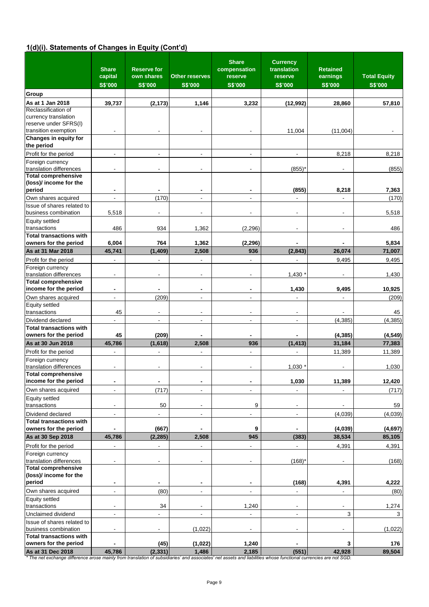# **1(d)(i). Statements of Changes in Equity (Cont'd)**

|                                                                                                                                                                                       | <b>Share</b><br>capital<br><b>S\$'000</b> | <b>Reserve for</b><br>own shares<br><b>S\$'000</b> | <b>Other reserves</b><br><b>S\$'000</b> | <b>Share</b><br>compensation<br>reserve<br><b>S\$'000</b> | <b>Currency</b><br>translation<br>reserve<br><b>S\$'000</b> | <b>Retained</b><br>earnings<br><b>S\$'000</b> | <b>Total Equity</b><br><b>S\$'000</b> |
|---------------------------------------------------------------------------------------------------------------------------------------------------------------------------------------|-------------------------------------------|----------------------------------------------------|-----------------------------------------|-----------------------------------------------------------|-------------------------------------------------------------|-----------------------------------------------|---------------------------------------|
| Group                                                                                                                                                                                 |                                           |                                                    |                                         |                                                           |                                                             |                                               |                                       |
| As at 1 Jan 2018<br>Reclassification of<br>currency translation                                                                                                                       | 39,737                                    | (2, 173)                                           | 1,146                                   | 3,232                                                     | (12,992)                                                    | 28,860                                        | 57,810                                |
| reserve under SFRS(I)<br>transition exemption                                                                                                                                         |                                           |                                                    |                                         |                                                           | 11,004                                                      | (11,004)                                      |                                       |
| Changes in equity for<br>the period                                                                                                                                                   |                                           |                                                    |                                         |                                                           |                                                             |                                               |                                       |
| Profit for the period<br>Foreign currency                                                                                                                                             | $\overline{a}$                            | ä,                                                 |                                         |                                                           | $\overline{a}$                                              | 8,218                                         | 8,218                                 |
| translation differences<br><b>Total comprehensive</b>                                                                                                                                 | ä,                                        |                                                    |                                         |                                                           | (855)                                                       |                                               | (855)                                 |
| (loss)/ income for the<br>period                                                                                                                                                      | $\blacksquare$                            | $\qquad \qquad \blacksquare$                       | $\blacksquare$                          | $\blacksquare$                                            | (855)                                                       | 8,218                                         | 7,363                                 |
| Own shares acquired<br>Issue of shares related to<br>business combination                                                                                                             | $\overline{\phantom{a}}$<br>5,518         | (170)<br>ä,                                        | $\overline{\phantom{a}}$                | $\overline{\phantom{a}}$                                  | $\overline{\phantom{a}}$<br>$\overline{\phantom{a}}$        |                                               | (170)<br>5,518                        |
| <b>Equity settled</b><br>transactions                                                                                                                                                 | 486                                       | 934                                                | 1,362                                   | (2, 296)                                                  | $\overline{\phantom{a}}$                                    |                                               | 486                                   |
| <b>Total transactions with</b><br>owners for the period                                                                                                                               | 6,004                                     | 764                                                | 1,362                                   | (2, 296)                                                  |                                                             |                                               | 5,834                                 |
| As at 31 Mar 2018                                                                                                                                                                     | 45,741                                    | (1, 409)                                           | 2,508                                   | 936                                                       | (2, 843)                                                    | 26,074                                        | 71,007                                |
| Profit for the period                                                                                                                                                                 | $\overline{a}$                            | ä,                                                 |                                         |                                                           | $\overline{a}$                                              | 9,495                                         | 9,495                                 |
| Foreign currency<br>translation differences                                                                                                                                           | $\overline{\phantom{a}}$                  | ٠                                                  |                                         | $\overline{\phantom{a}}$                                  | 1,430                                                       |                                               | 1,430                                 |
| <b>Total comprehensive</b><br>income for the period                                                                                                                                   | $\blacksquare$                            | -                                                  | $\blacksquare$                          | $\overline{a}$                                            | 1,430                                                       | 9,495                                         | 10,925                                |
| Own shares acquired                                                                                                                                                                   | $\overline{\phantom{a}}$                  | (209)                                              |                                         | $\overline{\phantom{a}}$                                  | $\overline{a}$                                              |                                               | (209)                                 |
| <b>Equity settled</b>                                                                                                                                                                 |                                           |                                                    |                                         |                                                           |                                                             |                                               |                                       |
| transactions                                                                                                                                                                          | 45                                        | $\blacksquare$                                     | $\overline{\phantom{a}}$                | $\overline{\phantom{a}}$                                  | $\blacksquare$                                              |                                               | 45                                    |
| Dividend declared                                                                                                                                                                     | $\overline{\phantom{a}}$                  | $\blacksquare$                                     | $\overline{\phantom{a}}$                | $\overline{\phantom{a}}$                                  | $\overline{\phantom{a}}$                                    | (4, 385)                                      | (4, 385)                              |
| <b>Total transactions with</b><br>owners for the period                                                                                                                               | 45                                        | (209)                                              |                                         | $\blacksquare$                                            |                                                             | (4, 385)                                      | (4, 549)                              |
| As at 30 Jun 2018                                                                                                                                                                     | 45,786                                    | (1,618)                                            | 2,508                                   | 936                                                       | (1, 413)                                                    | 31,184                                        | 77,383                                |
| Profit for the period                                                                                                                                                                 |                                           | ÷,                                                 |                                         | ÷,                                                        |                                                             | 11,389                                        | 11,389                                |
| Foreign currency<br>translation differences                                                                                                                                           | ä,                                        |                                                    |                                         |                                                           | 1,030                                                       |                                               | 1,030                                 |
| <b>Total comprehensive</b><br>income for the period                                                                                                                                   | $\overline{\phantom{a}}$                  | $\overline{\phantom{a}}$                           |                                         | $\overline{a}$                                            | 1,030                                                       | 11,389                                        | 12,420                                |
| Own shares acquired                                                                                                                                                                   | ÷,                                        | (717)                                              | $\blacksquare$                          | $\overline{\phantom{a}}$                                  |                                                             |                                               | (717)                                 |
| <b>Equity settled</b><br>transactions                                                                                                                                                 | $\blacksquare$                            | 50                                                 |                                         | 9                                                         | $\overline{\phantom{a}}$                                    |                                               | 59                                    |
| Dividend declared<br><b>Total transactions with</b>                                                                                                                                   | $\overline{\phantom{a}}$                  |                                                    | $\overline{\phantom{a}}$                | $\overline{\phantom{a}}$                                  | ٠                                                           | (4,039)                                       | (4,039)                               |
| owners for the period                                                                                                                                                                 |                                           | (667)                                              |                                         | 9                                                         |                                                             | (4,039)                                       | (4, 697)                              |
| As at 30 Sep 2018                                                                                                                                                                     | 45,786                                    | (2, 285)                                           | 2,508                                   | 945                                                       | (383)                                                       | 38,534                                        | 85,105                                |
| Profit for the period                                                                                                                                                                 |                                           | ä,                                                 |                                         |                                                           |                                                             | 4,391                                         | 4,391                                 |
| Foreign currency<br>translation differences                                                                                                                                           | $\overline{\phantom{a}}$                  | $\overline{\phantom{a}}$                           | $\blacksquare$                          | $\overline{\phantom{a}}$                                  | (168)                                                       |                                               | (168)                                 |
| <b>Total comprehensive</b>                                                                                                                                                            |                                           |                                                    |                                         |                                                           |                                                             |                                               |                                       |
| (loss)/ income for the<br>period                                                                                                                                                      | $\overline{\phantom{0}}$                  | $\overline{\phantom{0}}$                           |                                         | $\blacksquare$                                            | (168)                                                       | 4,391                                         | 4,222                                 |
| Own shares acquired                                                                                                                                                                   | ٠                                         | (80)                                               | $\overline{\phantom{a}}$                |                                                           |                                                             |                                               | (80)                                  |
| Equity settled                                                                                                                                                                        |                                           |                                                    |                                         |                                                           |                                                             |                                               |                                       |
| transactions                                                                                                                                                                          | $\overline{\phantom{a}}$                  | 34                                                 | $\overline{\phantom{a}}$                | 1,240                                                     | $\overline{\phantom{a}}$                                    | $\overline{\phantom{a}}$                      | 1,274                                 |
| Unclaimed dividend<br>Issue of shares related to                                                                                                                                      | $\overline{\phantom{a}}$                  | $\overline{\phantom{a}}$                           | $\overline{\phantom{a}}$                | $\blacksquare$                                            | $\overline{\phantom{a}}$                                    | 3                                             | 3                                     |
| business combination<br><b>Total transactions with</b>                                                                                                                                | $\frac{1}{2}$                             | $\frac{1}{2}$                                      | (1,022)                                 |                                                           | $\overline{\phantom{a}}$                                    |                                               | (1,022)                               |
| owners for the period                                                                                                                                                                 |                                           | (45)                                               | (1,022)                                 | 1,240                                                     |                                                             | 3                                             | 176                                   |
| As at 31 Dec 2018<br>* The net exchange difference arose mainly from translation of subsidiaries' and associates' net assets and liabilities whose functional currencies are not SGD. | 45,786                                    | (2, 331)                                           | 1,486                                   | 2,185                                                     | (551)                                                       | 42,928                                        | 89,504                                |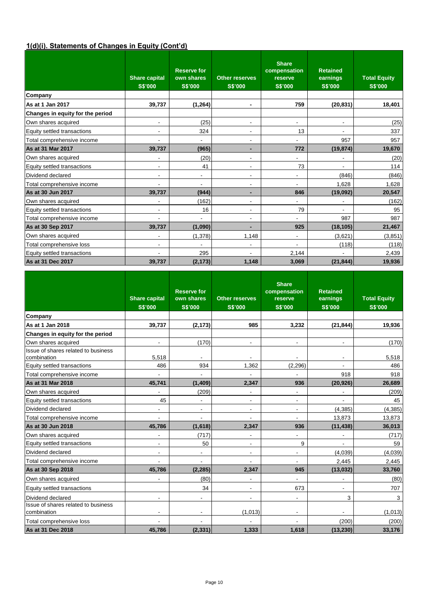# **1(d)(i). Statements of Changes in Equity (Cont'd)**

|                                  | <b>Share capital</b><br><b>S\$'000</b> | <b>Reserve for</b><br>own shares<br><b>S\$'000</b> | <b>Other reserves</b><br><b>S\$'000</b> | <b>Share</b><br>compensation<br>reserve<br><b>S\$'000</b> | <b>Retained</b><br>earnings<br><b>S\$'000</b> | <b>Total Equity</b><br><b>S\$'000</b> |
|----------------------------------|----------------------------------------|----------------------------------------------------|-----------------------------------------|-----------------------------------------------------------|-----------------------------------------------|---------------------------------------|
| Company                          |                                        |                                                    |                                         |                                                           |                                               |                                       |
| As at 1 Jan 2017                 | 39,737                                 | (1, 264)                                           | $\blacksquare$                          | 759                                                       | (20, 831)                                     | 18,401                                |
| Changes in equity for the period |                                        |                                                    |                                         |                                                           |                                               |                                       |
| Own shares acquired              | $\overline{\phantom{a}}$               | (25)                                               | $\overline{\phantom{a}}$                | ۰                                                         | $\overline{\phantom{a}}$                      | (25)                                  |
| Equity settled transactions      | $\overline{\phantom{a}}$               | 324                                                | $\overline{\phantom{a}}$                | 13                                                        |                                               | 337                                   |
| Total comprehensive income       | ٠                                      |                                                    | $\overline{\phantom{a}}$                |                                                           | 957                                           | 957                                   |
| As at 31 Mar 2017                | 39,737                                 | (965)                                              | $\blacksquare$                          | 772                                                       | (19, 874)                                     | 19,670                                |
| Own shares acquired              | ۰                                      | (20)                                               | $\overline{\phantom{a}}$                | ۰                                                         |                                               | (20)                                  |
| Equity settled transactions      | $\overline{\phantom{a}}$               | 41                                                 | $\overline{\phantom{a}}$                | 73                                                        |                                               | 114                                   |
| Dividend declared                | $\overline{\phantom{a}}$               | $\overline{\phantom{a}}$                           | $\overline{\phantom{a}}$                | ٠                                                         | (846)                                         | (846)                                 |
| Total comprehensive income       | ٠                                      | $\blacksquare$                                     | $\blacksquare$                          | ٠                                                         | 1.628                                         | 1,628                                 |
| As at 30 Jun 2017                | 39,737                                 | (944)                                              | $\blacksquare$                          | 846                                                       | (19,092)                                      | 20,547                                |
| Own shares acquired              | ٠                                      | (162)                                              | $\overline{\phantom{a}}$                | -                                                         | $\overline{\phantom{a}}$                      | (162)                                 |
| Equity settled transactions      | $\overline{\phantom{a}}$               | 16                                                 | $\overline{\phantom{a}}$                | 79                                                        |                                               | 95                                    |
| Total comprehensive income       |                                        |                                                    | $\overline{\phantom{a}}$                |                                                           | 987                                           | 987                                   |
| As at 30 Sep 2017                | 39,737                                 | (1,090)                                            | $\overline{\phantom{0}}$                | 925                                                       | (18, 105)                                     | 21,467                                |
| Own shares acquired              | ٠                                      | (1, 378)                                           | 1,148                                   | $\overline{\phantom{a}}$                                  | (3,621)                                       | (3,851)                               |
| Total comprehensive loss         | $\overline{\phantom{a}}$               |                                                    | $\overline{\phantom{a}}$                | -                                                         | (118)                                         | (118)                                 |
| Equity settled transactions      |                                        | 295                                                |                                         | 2,144                                                     |                                               | 2,439                                 |
| As at 31 Dec 2017                | 39,737                                 | (2, 173)                                           | 1,148                                   | 3,069                                                     | (21, 844)                                     | 19,936                                |

|                                                    | <b>Share capital</b><br><b>S\$'000</b> | <b>Reserve for</b><br>own shares<br><b>S\$'000</b> | <b>Other reserves</b><br><b>S\$'000</b> | <b>Share</b><br>compensation<br>reserve<br><b>S\$'000</b> | <b>Retained</b><br>earnings<br><b>S\$'000</b> | <b>Total Equity</b><br><b>S\$'000</b> |
|----------------------------------------------------|----------------------------------------|----------------------------------------------------|-----------------------------------------|-----------------------------------------------------------|-----------------------------------------------|---------------------------------------|
| Company                                            |                                        |                                                    |                                         |                                                           |                                               |                                       |
| As at 1 Jan 2018                                   | 39,737                                 | (2, 173)                                           | 985                                     | 3,232                                                     | (21, 844)                                     | 19,936                                |
| Changes in equity for the period                   |                                        |                                                    |                                         |                                                           |                                               |                                       |
| Own shares acquired                                | $\overline{\phantom{a}}$               | (170)                                              |                                         | $\overline{\phantom{0}}$                                  |                                               | (170)                                 |
| Issue of shares related to business<br>combination | 5,518                                  |                                                    |                                         |                                                           |                                               | 5,518                                 |
| Equity settled transactions                        | 486                                    | 934                                                | 1,362                                   | (2, 296)                                                  | $\overline{\phantom{a}}$                      | 486                                   |
| Total comprehensive income                         |                                        |                                                    |                                         |                                                           | 918                                           | 918                                   |
| As at 31 Mar 2018                                  | 45,741                                 | (1, 409)                                           | 2,347                                   | 936                                                       | (20, 926)                                     | 26,689                                |
| Own shares acquired                                |                                        | (209)                                              | $\overline{\phantom{a}}$                | ٠                                                         |                                               | (209)                                 |
| Equity settled transactions                        | 45                                     | $\blacksquare$                                     | $\blacksquare$                          | $\blacksquare$                                            | $\blacksquare$                                | 45                                    |
| Dividend declared                                  | $\blacksquare$                         | $\blacksquare$                                     | $\overline{\phantom{a}}$                | $\blacksquare$                                            | (4, 385)                                      | (4, 385)                              |
| Total comprehensive income                         |                                        |                                                    |                                         | ٠                                                         | 13,873                                        | 13,873                                |
| As at 30 Jun 2018                                  | 45,786                                 | (1,618)                                            | 2,347                                   | 936                                                       | (11, 438)                                     | 36,013                                |
| Own shares acquired                                |                                        | (717)                                              | $\overline{\phantom{a}}$                | ٠                                                         |                                               | (717)                                 |
| Equity settled transactions                        | $\blacksquare$                         | 50                                                 | $\overline{\phantom{a}}$                | 9                                                         |                                               | 59                                    |
| Dividend declared                                  | $\blacksquare$                         | $\overline{\phantom{0}}$                           | $\overline{\phantom{a}}$                | ٠                                                         | (4,039)                                       | (4,039)                               |
| Total comprehensive income                         |                                        |                                                    |                                         |                                                           | 2,445                                         | 2,445                                 |
| As at 30 Sep 2018                                  | 45,786                                 | (2, 285)                                           | 2,347                                   | 945                                                       | (13, 032)                                     | 33,760                                |
| Own shares acquired                                |                                        | (80)                                               |                                         |                                                           |                                               | (80)                                  |
| Equity settled transactions                        |                                        | 34                                                 | $\blacksquare$                          | 673                                                       | $\blacksquare$                                | 707                                   |
| Dividend declared                                  |                                        |                                                    |                                         | $\overline{\phantom{0}}$                                  | 3                                             | 3                                     |
| Issue of shares related to business<br>combination | $\overline{\phantom{a}}$               |                                                    | (1,013)                                 | $\overline{\phantom{a}}$                                  |                                               | (1,013)                               |
| Total comprehensive loss                           |                                        |                                                    |                                         |                                                           | (200)                                         | (200)                                 |
| As at 31 Dec 2018                                  | 45.786                                 | (2, 331)                                           | 1,333                                   | 1,618                                                     | (13, 230)                                     | 33,176                                |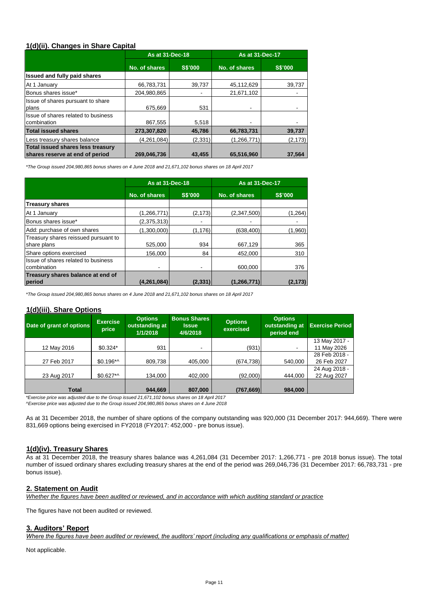## **1(d)(ii). Changes in Share Capital**

|                                                                             | As at 31-Dec-18 |                | <b>As at 31-Dec-17</b> |                |  |
|-----------------------------------------------------------------------------|-----------------|----------------|------------------------|----------------|--|
|                                                                             | No. of shares   | <b>S\$'000</b> | No. of shares          | <b>S\$'000</b> |  |
| Issued and fully paid shares                                                |                 |                |                        |                |  |
| At 1 January                                                                | 66,783,731      | 39,737         | 45,112,629             | 39,737         |  |
| Bonus shares issue*                                                         | 204,980,865     |                | 21,671,102             |                |  |
| Issue of shares pursuant to share<br>plans                                  | 675.669         | 531            |                        |                |  |
| Issue of shares related to business<br>combination                          | 867.555         | 5,518          |                        |                |  |
| <b>Total issued shares</b>                                                  | 273,307,820     | 45.786         | 66,783,731             | 39,737         |  |
| Less treasury shares balance                                                | (4,261,084)     | (2, 331)       | (1,266,771)            | (2, 173)       |  |
| <b>Total issued shares less treasury</b><br>shares reserve at end of period | 269,046,736     | 43,455         | 65,516,960             | 37,564         |  |

*\*The Group issued 204,980,865 bonus shares on 4 June 2018 and 21,671,102 bonus shares on 18 April 2017*

|                                                     | As at 31-Dec-18 |                | <b>As at 31-Dec-17</b> |                |  |
|-----------------------------------------------------|-----------------|----------------|------------------------|----------------|--|
|                                                     | No. of shares   | <b>S\$'000</b> | No. of shares          | <b>S\$'000</b> |  |
| <b>Treasury shares</b>                              |                 |                |                        |                |  |
| At 1 January                                        | (1, 266, 771)   | (2, 173)       | (2,347,500)            | (1,264)        |  |
| Bonus shares issue*                                 | (2,375,313)     | $\blacksquare$ |                        |                |  |
| Add: purchase of own shares                         | (1,300,000)     | (1, 176)       | (638, 400)             | (1,960)        |  |
| Treasury shares reissued pursuant to<br>share plans | 525,000         | 934            | 667,129                | 365            |  |
| Share options exercised                             | 156.000         | 84             | 452.000                | 310            |  |
| Issue of shares related to business<br>combination  |                 |                | 600.000                | 376            |  |
| Treasury shares balance at end of<br>period         | (4, 261, 084)   | (2, 331)       | (1,266,771)            | (2, 173)       |  |

*\*The Group issued 204,980,865 bonus shares on 4 June 2018 and 21,671,102 bonus shares on 18 April 2017*

# **1(d)(iii). Share Options**

| Date of grant of options | <b>Exercise</b><br>price | <b>Options</b><br>outstanding at<br>1/1/2018 | <b>Bonus Shares</b><br><b>Issue</b><br>4/6/2018 | <b>Options</b><br>exercised | <b>Options</b><br>outstanding at<br>period end | <b>Exercise Period</b> |
|--------------------------|--------------------------|----------------------------------------------|-------------------------------------------------|-----------------------------|------------------------------------------------|------------------------|
|                          |                          |                                              |                                                 |                             |                                                | 13 May 2017 -          |
| 12 May 2016              | $$0.324*$                | 931                                          | ٠                                               | (931)                       | ٠                                              | 11 May 2026            |
|                          |                          |                                              |                                                 |                             |                                                | 28 Feb 2018 -          |
| 27 Feb 2017              | $$0.196**$               | 809,738                                      | 405,000                                         | (674, 738)                  | 540,000                                        | 26 Feb 2027            |
|                          |                          |                                              |                                                 |                             |                                                | 24 Aug 2018 -          |
| 23 Aug 2017              | $$0.627**$               | 134,000                                      | 402,000                                         | (92,000)                    | 444,000                                        | 22 Aug 2027            |
|                          |                          |                                              |                                                 |                             |                                                |                        |
| <b>Total</b>             |                          | 944,669                                      | 807,000                                         | (767, 669)                  | 984,000                                        |                        |

*\*Exercise price was adjusted due to the Group issued 21,671,102 bonus shares on 18 April 2017 ^Exercise price was adjusted due to the Group issued 204,980,865 bonus shares on 4 June 2018* 

As at 31 December 2018, the number of share options of the company outstanding was 920,000 (31 December 2017: 944,669). There were 831,669 options being exercised in FY2018 (FY2017: 452,000 - pre bonus issue).

# **1(d)(iv). Treasury Shares**

As at 31 December 2018, the treasury shares balance was 4,261,084 (31 December 2017: 1,266,771 - pre 2018 bonus issue). The total number of issued ordinary shares excluding treasury shares at the end of the period was 269,046,736 (31 December 2017: 66,783,731 - pre bonus issue).

## **2. Statement on Audit**

*Whether the figures have been audited or reviewed, and in accordance with which auditing standard or practice*

The figures have not been audited or reviewed.

#### **3. Auditors' Report**

*Where the figures have been audited or reviewed, the auditors' report (including any qualifications or emphasis of matter)*

Not applicable.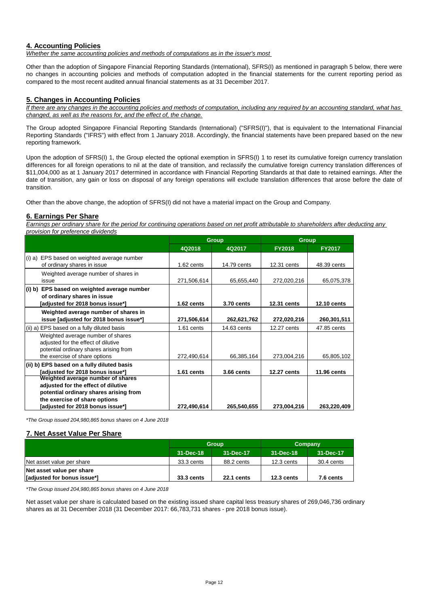# **4. Accounting Policies**

*Whether the same accounting policies and methods of computations as in the issuer's most* 

Other than the adoption of Singapore Financial Reporting Standards (International), SFRS(I) as mentioned in paragraph 5 below, there were no changes in accounting policies and methods of computation adopted in the financial statements for the current reporting period as compared to the most recent audited annual financial statements as at 31 December 2017.

# **5. Changes in Accounting Policies**

*If there are any changes in the accounting policies and methods of computation, including any required by an accounting standard, what has changed, as well as the reasons for, and the effect of, the change.*

The Group adopted Singapore Financial Reporting Standards (International) ("SFRS(I)"), that is equivalent to the International Financial Reporting Standards ("IFRS") with effect from 1 January 2018. Accordingly, the financial statements have been prepared based on the new reporting framework.

Upon the adoption of SFRS(I) 1, the Group elected the optional exemption in SFRS(I) 1 to reset its cumulative foreign currency translation differences for all foreign operations to nil at the date of transition, and reclassify the cumulative foreign currency translation differences of \$11,004,000 as at 1 January 2017 determined in accordance with Financial Reporting Standards at that date to retained earnings. After the date of transition, any gain or loss on disposal of any foreign operations will exclude translation differences that arose before the date of transition.

Other than the above change, the adoption of SFRS(I) did not have a material impact on the Group and Company.

#### **6. Earnings Per Share**

*Earnings per ordinary share for the period for continuing operations based on net profit attributable to shareholders after deducting any provision for preference dividends*

|                                             |              | <b>Group</b> | <b>Group</b>       |                    |  |
|---------------------------------------------|--------------|--------------|--------------------|--------------------|--|
|                                             | 4Q2018       | 4Q2017       | <b>FY2018</b>      | <b>FY2017</b>      |  |
| (i) a) EPS based on weighted average number |              |              |                    |                    |  |
| of ordinary shares in issue                 | 1.62 cents   | 14.79 cents  | $12.31$ cents      | 48.39 cents        |  |
| Weighted average number of shares in        |              |              |                    |                    |  |
| issue                                       | 271,506,614  | 65,655,440   | 272,020,216        | 65,075,378         |  |
| (i) b) EPS based on weighted average number |              |              |                    |                    |  |
| of ordinary shares in issue                 |              |              |                    |                    |  |
| [adjusted for 2018 bonus issue*]            | 1.62 cents   | 3.70 cents   | <b>12.31 cents</b> | <b>12.10 cents</b> |  |
| Weighted average number of shares in        |              |              |                    |                    |  |
| issue [adjusted for 2018 bonus issue*]      | 271,506,614  | 262,621,762  | 272,020,216        | 260,301,511        |  |
| (ii) a) EPS based on a fully diluted basis  | $1.61$ cents | 14.63 cents  | 12.27 cents        | 47.85 cents        |  |
| Weighted average number of shares           |              |              |                    |                    |  |
| adjusted for the effect of dilutive         |              |              |                    |                    |  |
| potential ordinary shares arising from      |              |              |                    |                    |  |
| the exercise of share options               | 272,490,614  | 66,385,164   | 273,004,216        | 65,805,102         |  |
| (ii) b) EPS based on a fully diluted basis  |              |              |                    |                    |  |
| [adjusted for 2018 bonus issue*]            | 1.61 cents   | 3.66 cents   | <b>12.27 cents</b> | 11.96 cents        |  |
| Weighted average number of shares           |              |              |                    |                    |  |
| adjusted for the effect of dilutive         |              |              |                    |                    |  |
| potential ordinary shares arising from      |              |              |                    |                    |  |
| the exercise of share options               |              |              |                    |                    |  |
| [adjusted for 2018 bonus issue*]            | 272,490,614  | 265,540,655  | 273,004,216        | 263,220,409        |  |

*\*The Group issued 204,980,865 bonus shares on 4 June 2018*

## **7. Net Asset Value Per Share**

|                             |                   | <b>Group</b>      | Company      |            |
|-----------------------------|-------------------|-------------------|--------------|------------|
|                             | 31-Dec-18         | 31-Dec-17         | 31-Dec-18    | 31-Dec-17  |
| Net asset value per share   | 33.3 cents        | 88.2 cents        | $12.3$ cents | 30.4 cents |
| Net asset value per share   |                   |                   |              |            |
| [adjusted for bonus issue*] | <b>33.3 cents</b> | <b>22.1 cents</b> | $12.3$ cents | 7.6 cents  |

*\*The Group issued 204,980,865 bonus shares on 4 June 2018*

Net asset value per share is calculated based on the existing issued share capital less treasury shares of 269,046,736 ordinary shares as at 31 December 2018 (31 December 2017: 66,783,731 shares - pre 2018 bonus issue).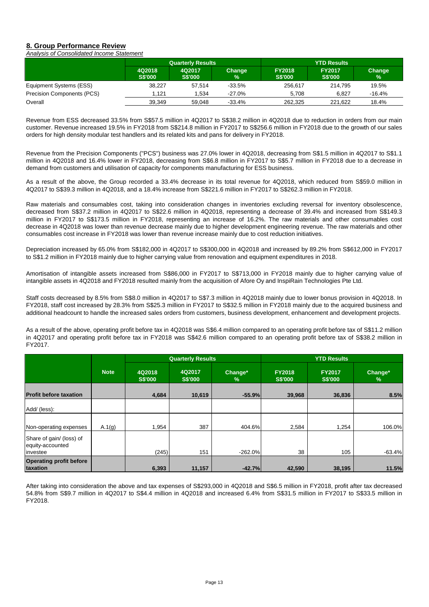#### **8. Group Performance Review** *Analysis of Consolidated Income Statement*

|                                   |                          | <b>Quarterly Results</b> |                |                                 | <b>YTD Results</b>              |             |  |  |
|-----------------------------------|--------------------------|--------------------------|----------------|---------------------------------|---------------------------------|-------------|--|--|
|                                   | 4Q2018<br><b>S\$'000</b> | 4Q2017<br><b>S\$'000</b> | Change<br>$\%$ | <b>FY2018</b><br><b>S\$'000</b> | <b>FY2017</b><br><b>S\$'000</b> | Change<br>% |  |  |
| Equipment Systems (ESS)           | 38.227                   | 57.514                   | $-33.5%$       | 256.617                         | 214.795                         | 19.5%       |  |  |
| <b>Precision Components (PCS)</b> | 1.121                    | 1.534                    | -27.0%         | 5.708                           | 6.827                           | $-16.4%$    |  |  |
| Overall                           | 39.349                   | 59.048                   | $-33.4%$       | 262.325                         | 221.622                         | 18.4%       |  |  |

Revenue from ESS decreased 33.5% from S\$57.5 million in 4Q2017 to S\$38.2 million in 4Q2018 due to reduction in orders from our main customer. Revenue increased 19.5% in FY2018 from S\$214.8 million in FY2017 to S\$256.6 million in FY2018 due to the growth of our sales orders for high density modular test handlers and its related kits and pans for delivery in FY2018.

Revenue from the Precision Components ("PCS") business was 27.0% lower in 4Q2018, decreasing from S\$1.5 million in 4Q2017 to S\$1.1 million in 4Q2018 and 16.4% lower in FY2018, decreasing from S\$6.8 million in FY2017 to S\$5.7 million in FY2018 due to a decrease in demand from customers and utilisation of capacity for components manufacturing for ESS business.

As a result of the above, the Group recorded a 33.4% decrease in its total revenue for 4Q2018, which reduced from S\$59.0 million in 4Q2017 to S\$39.3 million in 4Q2018, and a 18.4% increase from S\$221.6 million in FY2017 to S\$262.3 million in FY2018.

Raw materials and consumables cost, taking into consideration changes in inventories excluding reversal for inventory obsolescence, decreased from S\$37.2 million in 4Q2017 to S\$22.6 million in 4Q2018, representing a decrease of 39.4% and increased from S\$149.3 million in FY2017 to S\$173.5 million in FY2018, representing an increase of 16.2%. The raw materials and other consumables cost decrease in 4Q2018 was lower than revenue decrease mainly due to higher development engineering revenue. The raw materials and other consumables cost increase in FY2018 was lower than revenue increase mainly due to cost reduction initiatives.

Depreciation increased by 65.0% from S\$182,000 in 4Q2017 to S\$300,000 in 4Q2018 and increased by 89.2% from S\$612,000 in FY2017 to S\$1.2 million in FY2018 mainly due to higher carrying value from renovation and equipment expenditures in 2018.

Amortisation of intangible assets increased from S\$86,000 in FY2017 to S\$713,000 in FY2018 mainly due to higher carrying value of intangible assets in 4Q2018 and FY2018 resulted mainly from the acquisition of Afore Oy and InspiRain Technologies Pte Ltd.

Staff costs decreased by 8.5% from S\$8.0 million in 4Q2017 to S\$7.3 million in 4Q2018 mainly due to lower bonus provision in 4Q2018. In FY2018, staff cost increased by 28.3% from S\$25.3 million in FY2017 to S\$32.5 million in FY2018 mainly due to the acquired business and additional headcount to handle the increased sales orders from customers, business development, enhancement and development projects.

As a result of the above, operating profit before tax in 4Q2018 was S\$6.4 million compared to an operating profit before tax of S\$11.2 million in 4Q2017 and operating profit before tax in FY2018 was S\$42.6 million compared to an operating profit before tax of S\$38.2 million in FY2017.

|                                                          |             | <b>Quarterly Results</b> |                          | <b>YTD Results</b> |                                 |                                 |              |
|----------------------------------------------------------|-------------|--------------------------|--------------------------|--------------------|---------------------------------|---------------------------------|--------------|
|                                                          | <b>Note</b> | 4Q2018<br><b>S\$'000</b> | 4Q2017<br><b>S\$'000</b> | Change*<br>$\%$    | <b>FY2018</b><br><b>S\$'000</b> | <b>FY2017</b><br><b>S\$'000</b> | Change*<br>% |
| <b>Profit before taxation</b>                            |             | 4,684                    | 10,619                   | $-55.9%$           | 39,968                          | 36,836                          | 8.5%         |
| Add/ (less):                                             |             |                          |                          |                    |                                 |                                 |              |
| Non-operating expenses                                   | A.1(g)      | 1,954                    | 387                      | 404.6%             | 2,584                           | 1,254                           | 106.0%       |
| Share of gain/ (loss) of<br>equity-accounted<br>investee |             | (245)                    | 151                      | $-262.0%$          | 38                              | 105                             | $-63.4%$     |
| <b>Operating profit before</b><br>taxation               |             | 6,393                    | 11,157                   | $-42.7%$           | 42,590                          | 38,195                          | 11.5%        |

After taking into consideration the above and tax expenses of S\$293,000 in 4Q2018 and S\$6.5 million in FY2018, profit after tax decreased 54.8% from S\$9.7 million in 4Q2017 to S\$4.4 million in 4Q2018 and increased 6.4% from S\$31.5 million in FY2017 to S\$33.5 million in FY2018.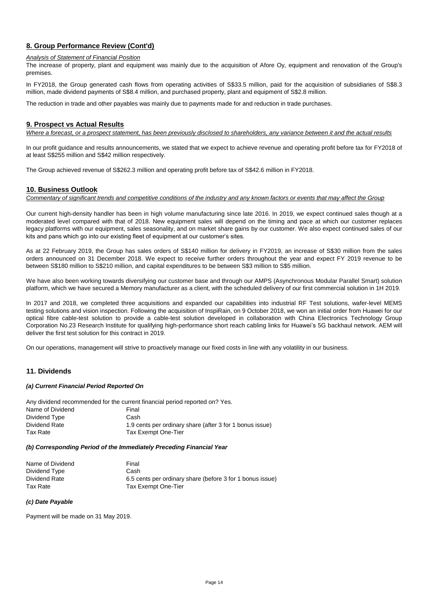# **8. Group Performance Review (Cont'd)**

#### *Analysis of Statement of Financial Position*

The increase of property, plant and equipment was mainly due to the acquisition of Afore Oy, equipment and renovation of the Group's premises.

In FY2018, the Group generated cash flows from operating activities of S\$33.5 million, paid for the acquisition of subsidiaries of S\$8.3 million, made dividend payments of S\$8.4 million, and purchased property, plant and equipment of S\$2.8 million.

The reduction in trade and other payables was mainly due to payments made for and reduction in trade purchases.

#### **9. Prospect vs Actual Results**

*Where a forecast, or a prospect statement, has been previously disclosed to shareholders, any variance between it and the actual results*

In our profit guidance and results announcements, we stated that we expect to achieve revenue and operating profit before tax for FY2018 of at least S\$255 million and S\$42 million respectively.

The Group achieved revenue of S\$262.3 million and operating profit before tax of S\$42.6 million in FY2018.

#### **10. Business Outlook**

*Commentary of significant trends and competitive conditions of the industry and any known factors or events that may affect the Group*

Our current high-density handler has been in high volume manufacturing since late 2016. In 2019, we expect continued sales though at a moderated level compared with that of 2018. New equipment sales will depend on the timing and pace at which our customer replaces legacy platforms with our equipment, sales seasonality, and on market share gains by our customer. We also expect continued sales of our kits and pans which go into our existing fleet of equipment at our customer's sites.

As at 22 February 2019, the Group has sales orders of S\$140 million for delivery in FY2019, an increase of S\$30 million from the sales orders announced on 31 December 2018. We expect to receive further orders throughout the year and expect FY 2019 revenue to be between S\$180 million to S\$210 million, and capital expenditures to be between S\$3 million to S\$5 million.

We have also been working towards diversifying our customer base and through our AMPS (Asynchronous Modular Parallel Smart) solution platform, which we have secured a Memory manufacturer as a client, with the scheduled delivery of our first commercial solution in 1H 2019.

In 2017 and 2018, we completed three acquisitions and expanded our capabilities into industrial RF Test solutions, wafer-level MEMS testing solutions and vision inspection. Following the acquisition of InspiRain, on 9 October 2018, we won an initial order from Huawei for our optical fibre cable-test solution to provide a cable-test solution developed in collaboration with China Electronics Technology Group Corporation No.23 Research Institute for qualifying high-performance short reach cabling links for Huawei's 5G backhaul network. AEM will deliver the first test solution for this contract in 2019.

On our operations, management will strive to proactively manage our fixed costs in line with any volatility in our business.

## **11. Dividends**

#### *(a) Current Financial Period Reported On*

Any dividend recommended for the current financial period reported on? Yes. Name of Dividend Dividend Type Dividend Rate Tax Rate 1.9 cents per ordinary share (after 3 for 1 bonus issue) Final Cash Tax Exempt One-Tier

#### *(b) Corresponding Period of the Immediately Preceding Financial Year*

| Name of Dividend | Final                                                     |
|------------------|-----------------------------------------------------------|
| Dividend Type    | Cash                                                      |
| Dividend Rate    | 6.5 cents per ordinary share (before 3 for 1 bonus issue) |
| Tax Rate         | Tax Exempt One-Tier                                       |

#### *(c) Date Payable*

Payment will be made on 31 May 2019.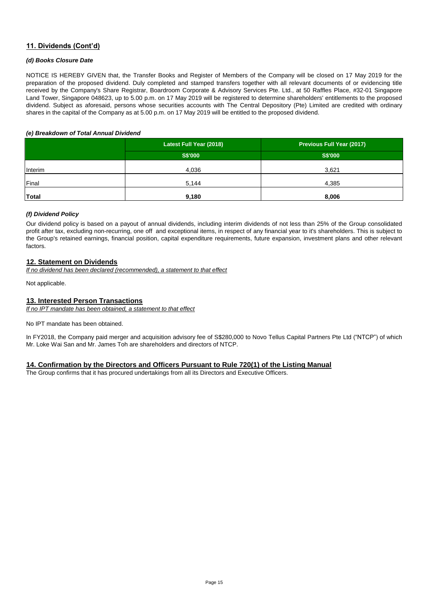# **11. Dividends (Cont'd)**

#### *(d) Books Closure Date*

NOTICE IS HEREBY GIVEN that, the Transfer Books and Register of Members of the Company will be closed on 17 May 2019 for the preparation of the proposed dividend. Duly completed and stamped transfers together with all relevant documents of or evidencing title received by the Company's Share Registrar, Boardroom Corporate & Advisory Services Pte. Ltd., at 50 Raffles Place, #32-01 Singapore Land Tower, Singapore 048623, up to 5.00 p.m. on 17 May 2019 will be registered to determine shareholders' entitlements to the proposed dividend. Subject as aforesaid, persons whose securities accounts with The Central Depository (Pte) Limited are credited with ordinary shares in the capital of the Company as at 5.00 p.m. on 17 May 2019 will be entitled to the proposed dividend.

#### *(e) Breakdown of Total Annual Dividend*

|         | Latest Full Year (2018) | Previous Full Year (2017) |
|---------|-------------------------|---------------------------|
|         | <b>S\$'000</b>          | <b>S\$'000</b>            |
| Interim | 4,036                   | 3,621                     |
| Final   | 5,144                   | 4,385                     |
| Total   | 9,180                   | 8,006                     |

#### *(f) Dividend Policy*

Our dividend policy is based on a payout of annual dividends, including interim dividends of not less than 25% of the Group consolidated profit after tax, excluding non-recurring, one off and exceptional items, in respect of any financial year to it's shareholders. This is subject to the Group's retained earnings, financial position, capital expenditure requirements, future expansion, investment plans and other relevant factors.

## **12. Statement on Dividends**

*If no dividend has been declared (recommended), a statement to that effect*

Not applicable.

#### **13. Interested Person Transactions**

*If no IPT mandate has been obtained, a statement to that effect*

No IPT mandate has been obtained.

In FY2018, the Company paid merger and acquisition advisory fee of S\$280,000 to Novo Tellus Capital Partners Pte Ltd ("NTCP") of which Mr. Loke Wai San and Mr. James Toh are shareholders and directors of NTCP.

## **14. Confirmation by the Directors and Officers Pursuant to Rule 720(1) of the Listing Manual**

The Group confirms that it has procured undertakings from all its Directors and Executive Officers.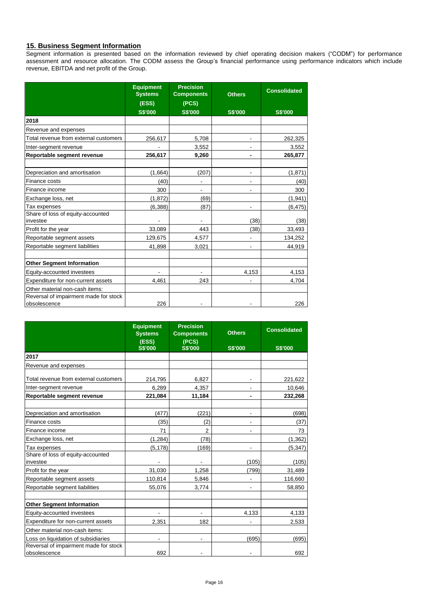## **15. Business Segment Information**

Segment information is presented based on the information reviewed by chief operating decision makers ("CODM") for performance assessment and resource allocation. The CODM assess the Group's financial performance using performance indicators which include revenue, EBITDA and net profit of the Group.

|                                                       | <b>Equipment</b><br><b>Systems</b> | <b>Precision</b><br><b>Components</b> | <b>Others</b>  | <b>Consolidated</b> |
|-------------------------------------------------------|------------------------------------|---------------------------------------|----------------|---------------------|
|                                                       | (ESS)                              | (PCS)                                 |                |                     |
|                                                       | <b>S\$'000</b>                     | <b>S\$'000</b>                        | <b>S\$'000</b> | <b>S\$'000</b>      |
| 2018                                                  |                                    |                                       |                |                     |
| Revenue and expenses                                  |                                    |                                       |                |                     |
| Total revenue from external customers                 | 256,617                            | 5,708                                 |                | 262,325             |
| Inter-segment revenue                                 |                                    | 3,552                                 |                | 3,552               |
| Reportable segment revenue                            | 256,617                            | 9,260                                 | ٠              | 265,877             |
|                                                       |                                    |                                       |                |                     |
| Depreciation and amortisation                         | (1,664)                            | (207)                                 |                | (1,871)             |
| Finance costs                                         | (40)                               |                                       |                | (40)                |
| Finance income                                        | 300                                |                                       |                | 300                 |
| Exchange loss, net                                    | (1,872)                            | (69)                                  |                | (1,941)             |
| Tax expenses                                          | (6, 388)                           | (87)                                  |                | (6, 475)            |
| Share of loss of equity-accounted<br>investee         |                                    |                                       | (38)           | (38)                |
| Profit for the year                                   | 33,089                             | 443                                   | (38)           | 33,493              |
| Reportable segment assets                             | 129,675                            | 4,577                                 |                | 134,252             |
| Reportable segment liabilities                        | 41,898                             | 3,021                                 |                | 44,919              |
| <b>Other Segment Information</b>                      |                                    |                                       |                |                     |
| Equity-accounted investees                            |                                    |                                       | 4,153          | 4,153               |
| Expenditure for non-current assets                    | 4,461                              | 243                                   |                | 4,704               |
| Other material non-cash items:                        |                                    |                                       |                |                     |
| Reversal of impairment made for stock<br>obsolescence | 226                                |                                       |                | 226                 |

|                                                       | <b>Equipment</b><br><b>Systems</b><br>(ESS) | <b>Precision</b><br><b>Components</b><br>(PCS) | <b>Others</b>            | <b>Consolidated</b> |
|-------------------------------------------------------|---------------------------------------------|------------------------------------------------|--------------------------|---------------------|
|                                                       | <b>S\$'000</b>                              | <b>S\$'000</b>                                 | <b>S\$'000</b>           | <b>S\$'000</b>      |
| 2017                                                  |                                             |                                                |                          |                     |
| Revenue and expenses                                  |                                             |                                                |                          |                     |
| Total revenue from external customers                 | 214,795                                     | 6,827                                          |                          | 221,622             |
| Inter-segment revenue                                 | 6,289                                       | 4,357                                          |                          | 10,646              |
| Reportable segment revenue                            | 221,084                                     | 11,184                                         |                          | 232,268             |
|                                                       |                                             |                                                |                          |                     |
| Depreciation and amortisation                         | (477)                                       | (221)                                          |                          | (698)               |
| Finance costs                                         | (35)                                        | (2)                                            |                          | (37)                |
| Finance income                                        | 71                                          | $\mathfrak{p}$                                 | $\overline{\phantom{a}}$ | 73                  |
| Exchange loss, net                                    | (1, 284)                                    | (78)                                           |                          | (1, 362)            |
| Tax expenses                                          | (5, 178)                                    | (169)                                          |                          | (5, 347)            |
| Share of loss of equity-accounted<br>investee         |                                             |                                                | (105)                    | (105)               |
| Profit for the year                                   | 31,030                                      | 1,258                                          | (799)                    | 31,489              |
| Reportable segment assets                             | 110,814                                     | 5,846                                          |                          | 116,660             |
| Reportable segment liabilities                        | 55,076                                      | 3,774                                          |                          | 58,850              |
|                                                       |                                             |                                                |                          |                     |
| <b>Other Segment Information</b>                      |                                             |                                                |                          |                     |
| Equity-accounted investees                            |                                             |                                                | 4,133                    | 4,133               |
| Expenditure for non-current assets                    | 2.351                                       | 182                                            |                          | 2,533               |
| Other material non-cash items:                        |                                             |                                                |                          |                     |
| Loss on liquidation of subsidiaries                   | $\overline{\phantom{a}}$                    |                                                | (695)                    | (695)               |
| Reversal of impairment made for stock<br>obsolescence | 692                                         |                                                |                          | 692                 |